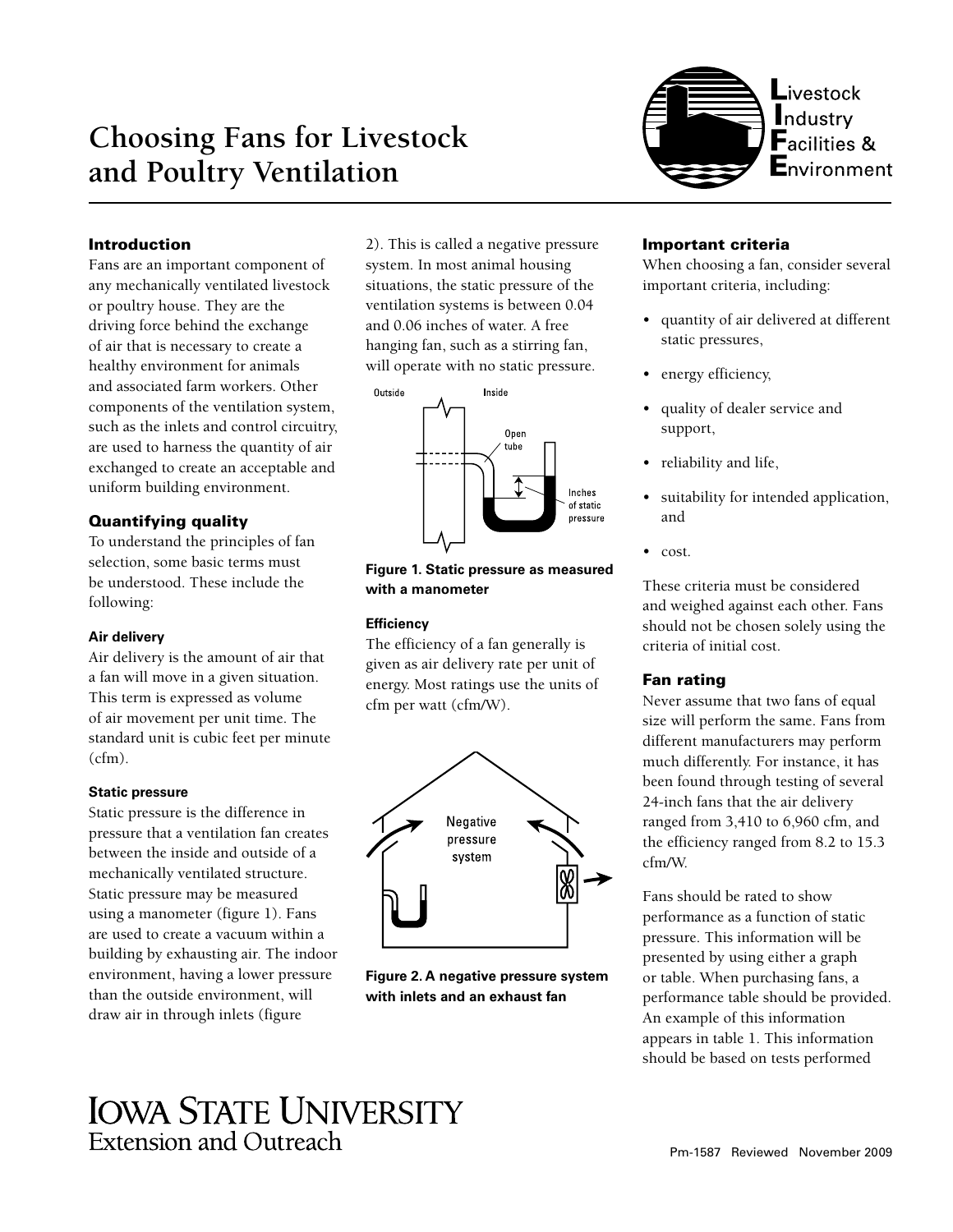# **Choosing Fans for Livestock and Poultry Ventilation**



# Introduction

Fans are an important component of any mechanically ventilated livestock or poultry house. They are the driving force behind the exchange of air that is necessary to create a healthy environment for animals and associated farm workers. Other components of the ventilation system, such as the inlets and control circuitry, are used to harness the quantity of air exchanged to create an acceptable and uniform building environment.

# Quantifying quality

To understand the principles of fan selection, some basic terms must be understood. These include the following:

# **Air delivery**

Air delivery is the amount of air that a fan will move in a given situation. This term is expressed as volume of air movement per unit time. The standard unit is cubic feet per minute  $(cfm)$ .

# **Static pressure**

Static pressure is the difference in pressure that a ventilation fan creates between the inside and outside of a mechanically ventilated structure. Static pressure may be measured using a manometer (figure 1). Fans are used to create a vacuum within a building by exhausting air. The indoor environment, having a lower pressure than the outside environment, will draw air in through inlets (figure

2). This is called a negative pressure system. In most animal housing situations, the static pressure of the ventilation systems is between 0.04 and 0.06 inches of water. A free hanging fan, such as a stirring fan, will operate with no static pressure.



**Figure 1. Static pressure as measured with a manometer**

# **Efficiency**

The efficiency of a fan generally is given as air delivery rate per unit of energy. Most ratings use the units of cfm per watt (cfm/W).



**Figure 2. A negative pressure system with inlets and an exhaust fan**

# Important criteria

When choosing a fan, consider several important criteria, including:

- quantity of air delivered at different static pressures,
- energy efficiency,
- quality of dealer service and support,
- reliability and life,
- suitability for intended application, and
- cost.

These criteria must be considered and weighed against each other. Fans should not be chosen solely using the criteria of initial cost.

# Fan rating

Never assume that two fans of equal size will perform the same. Fans from different manufacturers may perform much differently. For instance, it has been found through testing of several 24-inch fans that the air delivery ranged from 3,410 to 6,960 cfm, and the efficiency ranged from 8.2 to 15.3 cfm/W.

Fans should be rated to show performance as a function of static pressure. This information will be presented by using either a graph or table. When purchasing fans, a performance table should be provided. An example of this information appears in table 1. This information should be based on tests performed

# **IOWA STATE UNIVERSITY Extension and Outreach**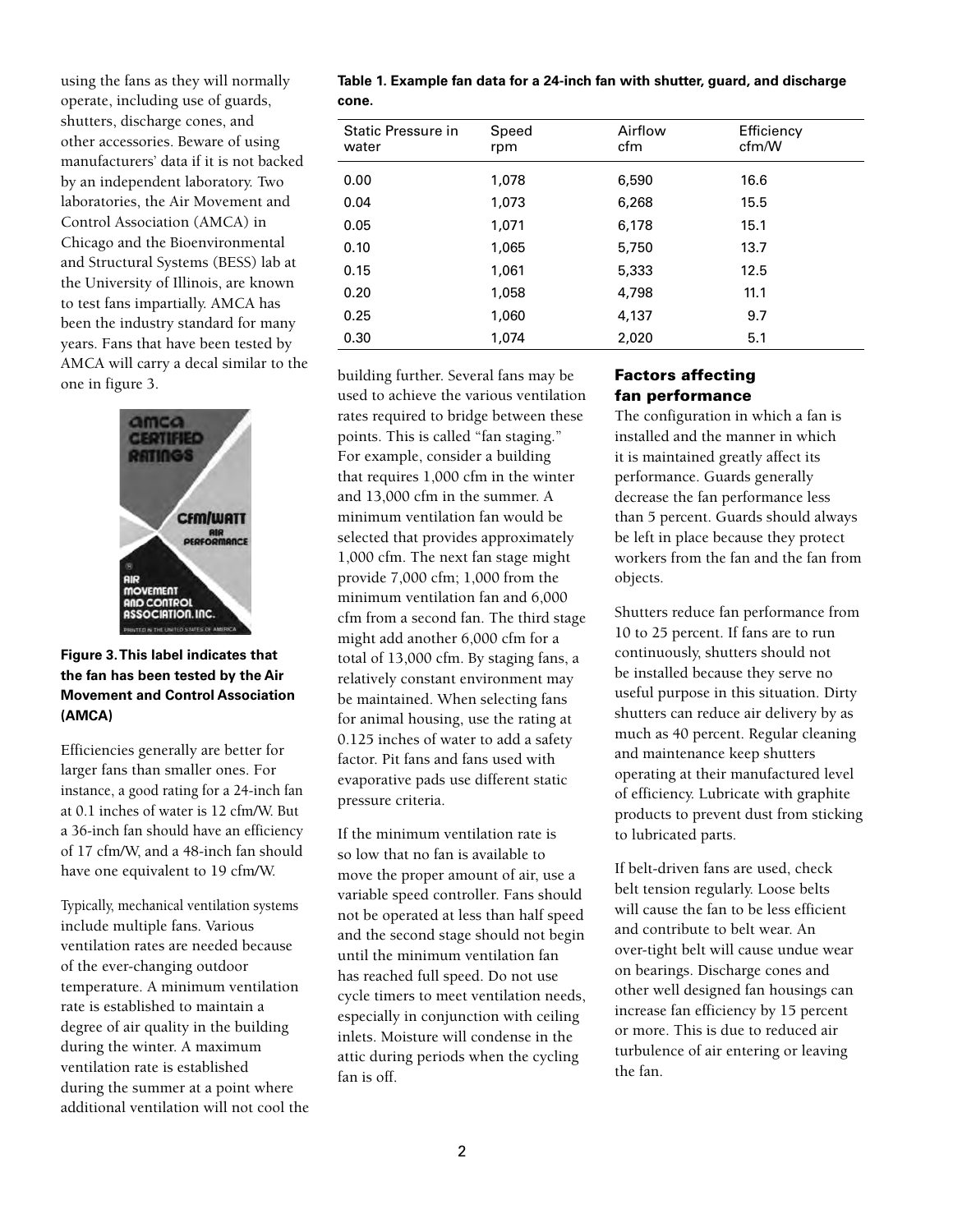using the fans as they will normally operate, including use of guards, shutters, discharge cones, and other accessories. Beware of using manufacturers' data if it is not backed by an independent laboratory. Two laboratories, the Air Movement and Control Association (AMCA) in Chicago and the Bioenvironmental and Structural Systems (BESS) lab at the University of Illinois, are known to test fans impartially. AMCA has been the industry standard for many years. Fans that have been tested by AMCA will carry a decal similar to the building further. Several fans may be one in figure 3.



# **Figure 3. This label indicates that the fan has been tested by the Air Movement and Control Association (AMCA)**

Efficiencies generally are better for larger fans than smaller ones. For instance, a good rating for a 24-inch fan at 0.1 inches of water is 12 cfm/W. But a 36-inch fan should have an efficiency of 17 cfm/W, and a 48-inch fan should have one equivalent to 19 cfm/W.

Typically, mechanical ventilation systems include multiple fans. Various ventilation rates are needed because of the ever-changing outdoor temperature. A minimum ventilation rate is established to maintain a degree of air quality in the building during the winter. A maximum ventilation rate is established during the summer at a point where additional ventilation will not cool the **Table 1. Example fan data for a 24-inch fan with shutter, guard, and discharge cone.**

| Static Pressure in<br>water | Speed<br>rpm | Airflow<br>cfm | Efficiency<br>cfm/W |
|-----------------------------|--------------|----------------|---------------------|
| 0.00                        | 1,078        | 6,590          | 16.6                |
| 0.04                        | 1,073        | 6,268          | 15.5                |
| 0.05                        | 1,071        | 6,178          | 15.1                |
| 0.10                        | 1,065        | 5,750          | 13.7                |
| 0.15                        | 1,061        | 5,333          | 12.5                |
| 0.20                        | 1,058        | 4,798          | 11.1                |
| 0.25                        | 1,060        | 4,137          | 9.7                 |
| 0.30                        | 1,074        | 2,020          | 5.1                 |

used to achieve the various ventilation rates required to bridge between these points. This is called "fan staging." For example, consider a building that requires 1,000 cfm in the winter and 13,000 cfm in the summer. A minimum ventilation fan would be selected that provides approximately 1,000 cfm. The next fan stage might provide 7,000 cfm; 1,000 from the minimum ventilation fan and 6,000 cfm from a second fan. The third stage might add another 6,000 cfm for a total of 13,000 cfm. By staging fans, a relatively constant environment may be maintained. When selecting fans for animal housing, use the rating at 0.125 inches of water to add a safety factor. Pit fans and fans used with evaporative pads use different static pressure criteria.

If the minimum ventilation rate is so low that no fan is available to move the proper amount of air, use a variable speed controller. Fans should not be operated at less than half speed and the second stage should not begin until the minimum ventilation fan has reached full speed. Do not use cycle timers to meet ventilation needs, especially in conjunction with ceiling inlets. Moisture will condense in the attic during periods when the cycling fan is off.

# Factors affecting fan performance

The configuration in which a fan is installed and the manner in which it is maintained greatly affect its performance. Guards generally decrease the fan performance less than 5 percent. Guards should always be left in place because they protect workers from the fan and the fan from objects.

Shutters reduce fan performance from 10 to 25 percent. If fans are to run continuously, shutters should not be installed because they serve no useful purpose in this situation. Dirty shutters can reduce air delivery by as much as 40 percent. Regular cleaning and maintenance keep shutters operating at their manufactured level of efficiency. Lubricate with graphite products to prevent dust from sticking to lubricated parts.

If belt-driven fans are used, check belt tension regularly. Loose belts will cause the fan to be less efficient and contribute to belt wear. An over-tight belt will cause undue wear on bearings. Discharge cones and other well designed fan housings can increase fan efficiency by 15 percent or more. This is due to reduced air turbulence of air entering or leaving the fan.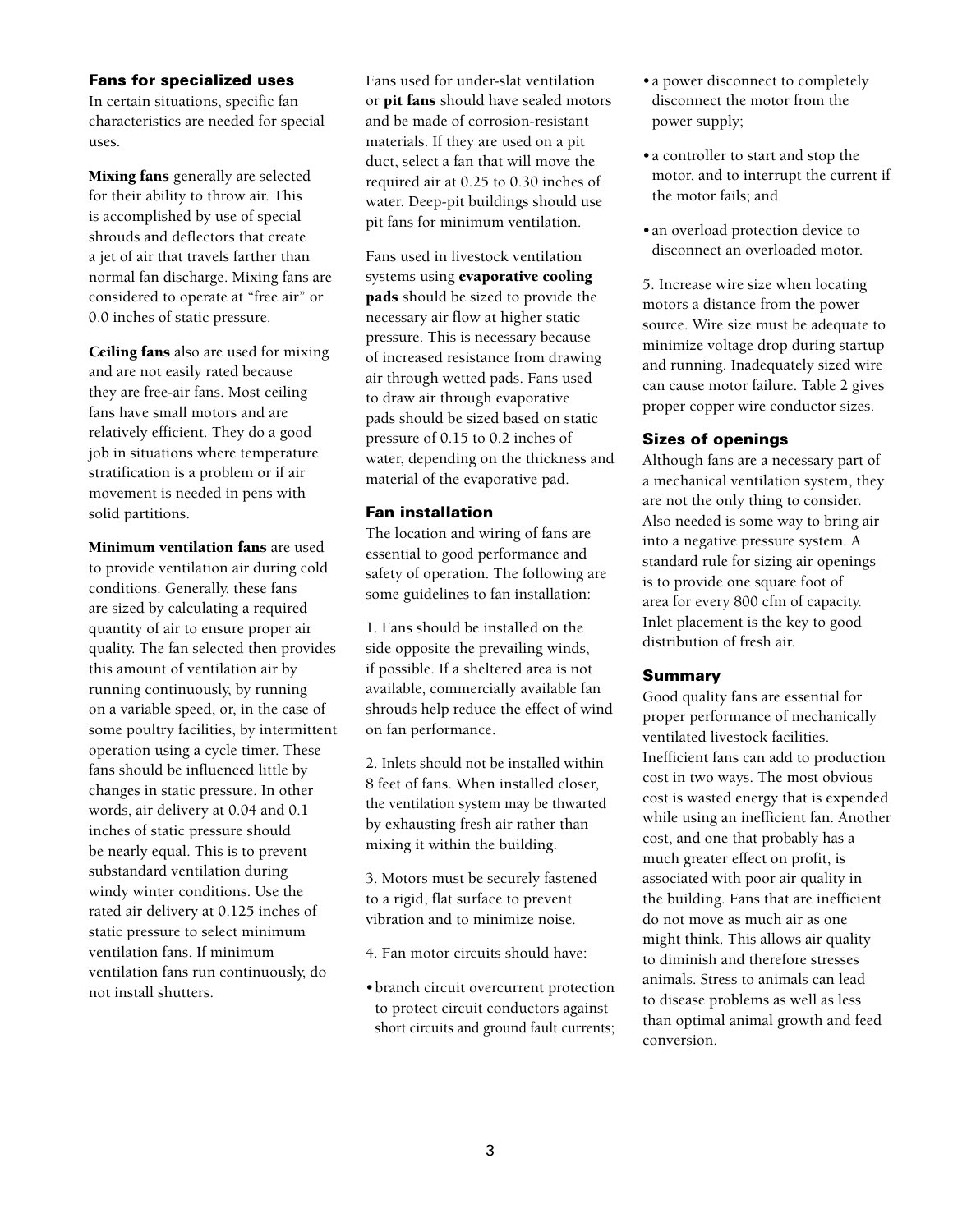# Fans for specialized uses

In certain situations, specific fan characteristics are needed for special uses.

Mixing fans generally are selected for their ability to throw air. This is accomplished by use of special shrouds and deflectors that create a jet of air that travels farther than normal fan discharge. Mixing fans are considered to operate at "free air" or 0.0 inches of static pressure.

Ceiling fans also are used for mixing and are not easily rated because they are free-air fans. Most ceiling fans have small motors and are relatively efficient. They do a good job in situations where temperature stratification is a problem or if air movement is needed in pens with solid partitions.

Minimum ventilation fans are used to provide ventilation air during cold conditions. Generally, these fans are sized by calculating a required quantity of air to ensure proper air quality. The fan selected then provides this amount of ventilation air by running continuously, by running on a variable speed, or, in the case of some poultry facilities, by intermittent operation using a cycle timer. These fans should be influenced little by changes in static pressure. In other words, air delivery at 0.04 and 0.1 inches of static pressure should be nearly equal. This is to prevent substandard ventilation during windy winter conditions. Use the rated air delivery at 0.125 inches of static pressure to select minimum ventilation fans. If minimum ventilation fans run continuously, do not install shutters.

Fans used for under-slat ventilation or pit fans should have sealed motors and be made of corrosion-resistant materials. If they are used on a pit duct, select a fan that will move the required air at 0.25 to 0.30 inches of water. Deep-pit buildings should use pit fans for minimum ventilation.

Fans used in livestock ventilation systems using evaporative cooling pads should be sized to provide the necessary air flow at higher static pressure. This is necessary because of increased resistance from drawing air through wetted pads. Fans used to draw air through evaporative pads should be sized based on static pressure of 0.15 to 0.2 inches of water, depending on the thickness and material of the evaporative pad.

# Fan installation

The location and wiring of fans are essential to good performance and safety of operation. The following are some guidelines to fan installation:

1. Fans should be installed on the side opposite the prevailing winds, if possible. If a sheltered area is not available, commercially available fan shrouds help reduce the effect of wind on fan performance.

2. Inlets should not be installed within 8 feet of fans. When installed closer, the ventilation system may be thwarted by exhausting fresh air rather than mixing it within the building.

3. Motors must be securely fastened to a rigid, flat surface to prevent vibration and to minimize noise.

- 4. Fan motor circuits should have:
- •branch circuit overcurrent protection to protect circuit conductors against short circuits and ground fault currents;
- •a power disconnect to completely disconnect the motor from the power supply;
- •a controller to start and stop the motor, and to interrupt the current if the motor fails; and
- •an overload protection device to disconnect an overloaded motor.

5. Increase wire size when locating motors a distance from the power source. Wire size must be adequate to minimize voltage drop during startup and running. Inadequately sized wire can cause motor failure. Table 2 gives proper copper wire conductor sizes.

### Sizes of openings

Although fans are a necessary part of a mechanical ventilation system, they are not the only thing to consider. Also needed is some way to bring air into a negative pressure system. A standard rule for sizing air openings is to provide one square foot of area for every 800 cfm of capacity. Inlet placement is the key to good distribution of fresh air.

# Summary

Good quality fans are essential for proper performance of mechanically ventilated livestock facilities. Inefficient fans can add to production cost in two ways. The most obvious cost is wasted energy that is expended while using an inefficient fan. Another cost, and one that probably has a much greater effect on profit, is associated with poor air quality in the building. Fans that are inefficient do not move as much air as one might think. This allows air quality to diminish and therefore stresses animals. Stress to animals can lead to disease problems as well as less than optimal animal growth and feed conversion.